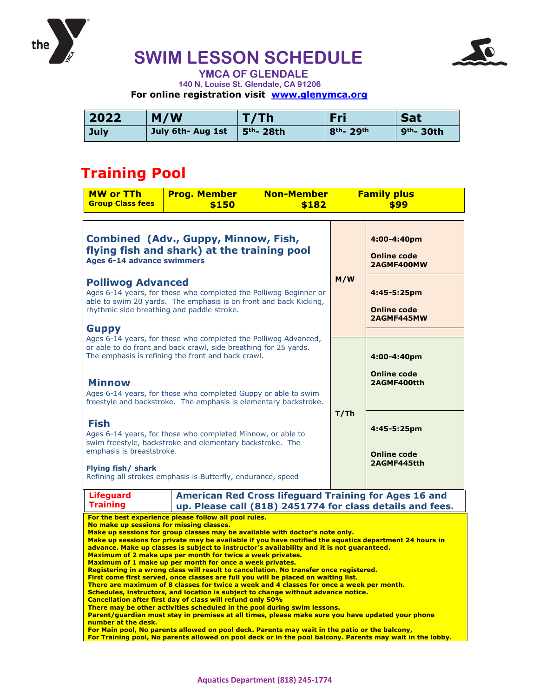

# **SWIM LESSON SCHEDULE**



 **YMCA OF GLENDALE 140 N. Louise St. Glendale, CA 91206 For online registration visit [www.glenymca.org](http://www.glenymca.org/)**

| 2022 | M/W               | T/Th         | Fri                                | <b>Sat</b>            |
|------|-------------------|--------------|------------------------------------|-----------------------|
| July | July 6th- Aug 1st | $5th$ - 28th | 8 <sup>th</sup> - 29 <sup>th</sup> | 9 <sup>th</sup> -30th |

### **Training Pool**

| <b>MW or TTh</b><br><b>Group Class fees</b>                                                                                                                                                                                                                                                                                                                                                                                                                                                                                                                                                                                                                                                                                                                                                                                                                                                                                                                                                                                                                                                                                                                                                                                                                                                                                                                                                                                                             | <b>Prog. Member</b><br>\$150 | <b>Non-Member</b><br>\$182 | <b>Family plus</b><br>\$99 |                                                  |  |
|---------------------------------------------------------------------------------------------------------------------------------------------------------------------------------------------------------------------------------------------------------------------------------------------------------------------------------------------------------------------------------------------------------------------------------------------------------------------------------------------------------------------------------------------------------------------------------------------------------------------------------------------------------------------------------------------------------------------------------------------------------------------------------------------------------------------------------------------------------------------------------------------------------------------------------------------------------------------------------------------------------------------------------------------------------------------------------------------------------------------------------------------------------------------------------------------------------------------------------------------------------------------------------------------------------------------------------------------------------------------------------------------------------------------------------------------------------|------------------------------|----------------------------|----------------------------|--------------------------------------------------|--|
| <b>Combined (Adv., Guppy, Minnow, Fish,</b><br>flying fish and shark) at the training pool<br><b>Ages 6-14 advance swimmers</b>                                                                                                                                                                                                                                                                                                                                                                                                                                                                                                                                                                                                                                                                                                                                                                                                                                                                                                                                                                                                                                                                                                                                                                                                                                                                                                                         |                              |                            |                            | 4:00-4:40pm<br><b>Online code</b><br>2AGMF400MW  |  |
| <b>Polliwog Advanced</b><br>Ages 6-14 years, for those who completed the Polliwog Beginner or<br>able to swim 20 yards. The emphasis is on front and back Kicking,<br>rhythmic side breathing and paddle stroke.<br><b>Guppy</b>                                                                                                                                                                                                                                                                                                                                                                                                                                                                                                                                                                                                                                                                                                                                                                                                                                                                                                                                                                                                                                                                                                                                                                                                                        |                              |                            | M/W                        | 4:45-5:25pm<br><b>Online code</b><br>2AGMF445MW  |  |
| Ages 6-14 years, for those who completed the Polliwog Advanced,<br>or able to do front and back crawl, side breathing for 25 yards.<br>The emphasis is refining the front and back crawl.<br><b>Minnow</b>                                                                                                                                                                                                                                                                                                                                                                                                                                                                                                                                                                                                                                                                                                                                                                                                                                                                                                                                                                                                                                                                                                                                                                                                                                              |                              |                            |                            | 4:00-4:40pm<br><b>Online code</b><br>2AGMF400tth |  |
| Ages 6-14 years, for those who completed Guppy or able to swim<br>freestyle and backstroke. The emphasis is elementary backstroke.<br>Fish<br>Ages 6-14 years, for those who completed Minnow, or able to<br>swim freestyle, backstroke and elementary backstroke. The                                                                                                                                                                                                                                                                                                                                                                                                                                                                                                                                                                                                                                                                                                                                                                                                                                                                                                                                                                                                                                                                                                                                                                                  |                              |                            |                            | 4:45-5:25pm                                      |  |
| emphasis is breaststroke.<br>Flying fish/ shark<br>Refining all strokes emphasis is Butterfly, endurance, speed<br><b>American Red Cross lifeguard Training for Ages 16 and</b><br><b>Lifeguard</b>                                                                                                                                                                                                                                                                                                                                                                                                                                                                                                                                                                                                                                                                                                                                                                                                                                                                                                                                                                                                                                                                                                                                                                                                                                                     |                              |                            |                            | <b>Online code</b><br>2AGMF445tth                |  |
| <b>Training</b><br>up. Please call (818) 2451774 for class details and fees.<br>For the best experience please follow all pool rules.<br>No make up sessions for missing classes.<br>Make up sessions for group classes may be available with doctor's note only.<br>Make up sessions for private may be available if you have notified the aquatics department 24 hours in<br>advance. Make up classes is subject to instructor's availability and it is not quaranteed.<br>Maximum of 2 make ups per month for twice a week privates.<br>Maximum of 1 make up per month for once a week privates.<br>Registering in a wrong class will result to cancellation. No transfer once registered.<br>First come first served, once classes are full you will be placed on waiting list.<br>There are maximum of 8 classes for twice a week and 4 classes for once a week per month.<br>Schedules, instructors, and location is subject to change without advance notice.<br>Cancellation after first day of class will refund only 50%<br>There may be other activities scheduled in the pool during swim lessons.<br>Parent/guardian must stay in premises at all times, please make sure you have updated your phone<br>number at the desk.<br>For Main pool, No parents allowed on pool deck. Parents may wait in the patio or the balcony,<br>For Training pool, No parents allowed on pool deck or in the pool balcony. Parents may wait in the lobby. |                              |                            |                            |                                                  |  |